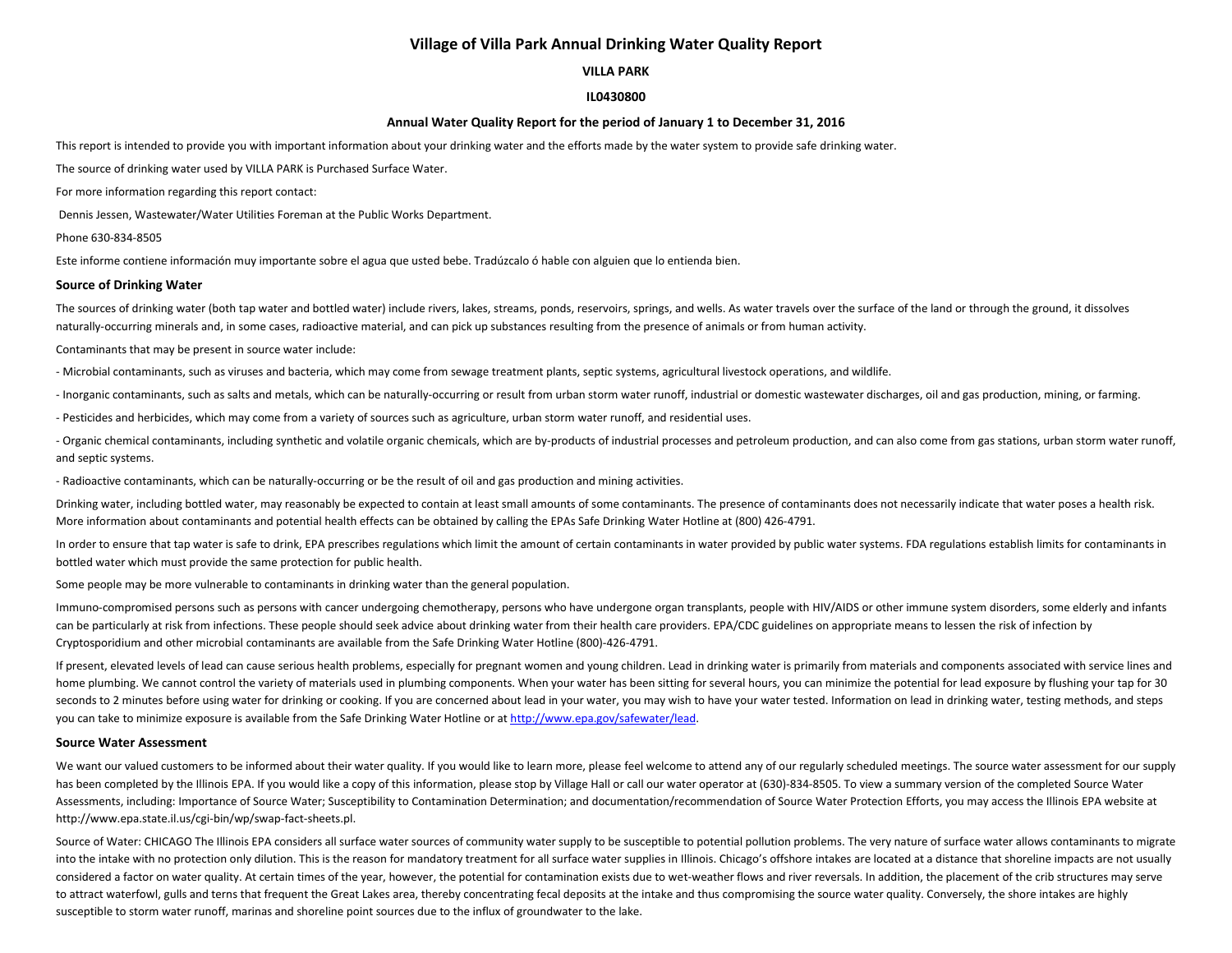# **Village of Villa Park Annual Drinking Water Quality Report**

## **VILLA PARK**

## **IL0430800**

## **Annual Water Quality Report for the period of January 1 to December 31, 2016**

This report is intended to provide you with important information about your drinking water and the efforts made by the water system to provide safe drinking water.

The source of drinking water used by VILLA PARK is Purchased Surface Water.

For more information regarding this report contact:

Dennis Jessen, Wastewater/Water Utilities Foreman at the Public Works Department.

Phone 630-834-8505

Este informe contiene información muy importante sobre el agua que usted bebe. Tradúzcalo ó hable con alguien que lo entienda bien.

#### **Source of Drinking Water**

The sources of drinking water (both tap water and bottled water) include rivers, lakes, streams, ponds, reservoirs, springs, and wells. As water travels over the surface of the land or through the ground, it dissolves naturally-occurring minerals and, in some cases, radioactive material, and can pick up substances resulting from the presence of animals or from human activity.

#### Contaminants that may be present in source water include:

- Microbial contaminants, such as viruses and bacteria, which may come from sewage treatment plants, septic systems, agricultural livestock operations, and wildlife.

- Inorganic contaminants, such as salts and metals, which can be naturally-occurring or result from urban storm water runoff, industrial or domestic wastewater discharges, oil and gas production, mining, or farming.

- Pesticides and herbicides, which may come from a variety of sources such as agriculture, urban storm water runoff, and residential uses.

- Organic chemical contaminants, including synthetic and volatile organic chemicals, which are by-products of industrial processes and petroleum production, and can also come from gas stations, urban storm water runoff, and septic systems.

- Radioactive contaminants, which can be naturally-occurring or be the result of oil and gas production and mining activities.

Drinking water, including bottled water, may reasonably be expected to contain at least small amounts of some contaminants. The presence of contaminants does not necessarily indicate that water poses a health risk. More information about contaminants and potential health effects can be obtained by calling the EPAs Safe Drinking Water Hotline at (800) 426-4791.

In order to ensure that tap water is safe to drink, EPA prescribes regulations which limit the amount of certain contaminants in water provided by public water systems. FDA regulations establish limits for contaminants in bottled water which must provide the same protection for public health.

Some people may be more vulnerable to contaminants in drinking water than the general population.

Immuno-compromised persons such as persons with cancer undergoing chemotherapy, persons who have undergone organ transplants, people with HIV/AIDS or other immune system disorders, some elderly and infants can be particularly at risk from infections. These people should seek advice about drinking water from their health care providers. EPA/CDC guidelines on appropriate means to lessen the risk of infection by Cryptosporidium and other microbial contaminants are available from the Safe Drinking Water Hotline (800)-426-4791.

If present, elevated levels of lead can cause serious health problems, especially for pregnant women and young children. Lead in drinking water is primarily from materials and components associated with service lines and home plumbing. We cannot control the variety of materials used in plumbing components. When your water has been sitting for several hours, you can minimize the potential for lead exposure by flushing your tap for 30 seconds to 2 minutes before using water for drinking or cooking. If you are concerned about lead in your water, you may wish to have your water tested. Information on lead in drinking water, testing methods, and steps you can take to minimize exposure is available from the Safe Drinking Water Hotline or at [http://www.epa.gov/safewater/lead.](http://www.epa.gov/safewater/lead)

#### **Source Water Assessment**

We want our valued customers to be informed about their water quality. If you would like to learn more, please feel welcome to attend any of our regularly scheduled meetings. The source water assessment for our supply has been completed by the Illinois EPA. If you would like a copy of this information, please stop by Village Hall or call our water operator at (630)-834-8505. To view a summary version of the completed Source Water Assessments, including: Importance of Source Water; Susceptibility to Contamination Determination; and documentation/recommendation of Source Water Protection Efforts, you may access the Illinois EPA website at http://www.epa.state.il.us/cgi-bin/wp/swap-fact-sheets.pl.

Source of Water: CHICAGO The Illinois EPA considers all surface water sources of community water supply to be susceptible to potential pollution problems. The very nature of surface water allows contaminants to migrate into the intake with no protection only dilution. This is the reason for mandatory treatment for all surface water supplies in Illinois. Chicago's offshore intakes are located at a distance that shoreline impacts are not u considered a factor on water quality. At certain times of the year, however, the potential for contamination exists due to wet-weather flows and river reversals. In addition, the placement of the crib structures may serve to attract waterfowl, gulls and terns that frequent the Great Lakes area, thereby concentrating fecal deposits at the intake and thus compromising the source water quality. Conversely, the shore intakes are highly susceptible to storm water runoff, marinas and shoreline point sources due to the influx of groundwater to the lake.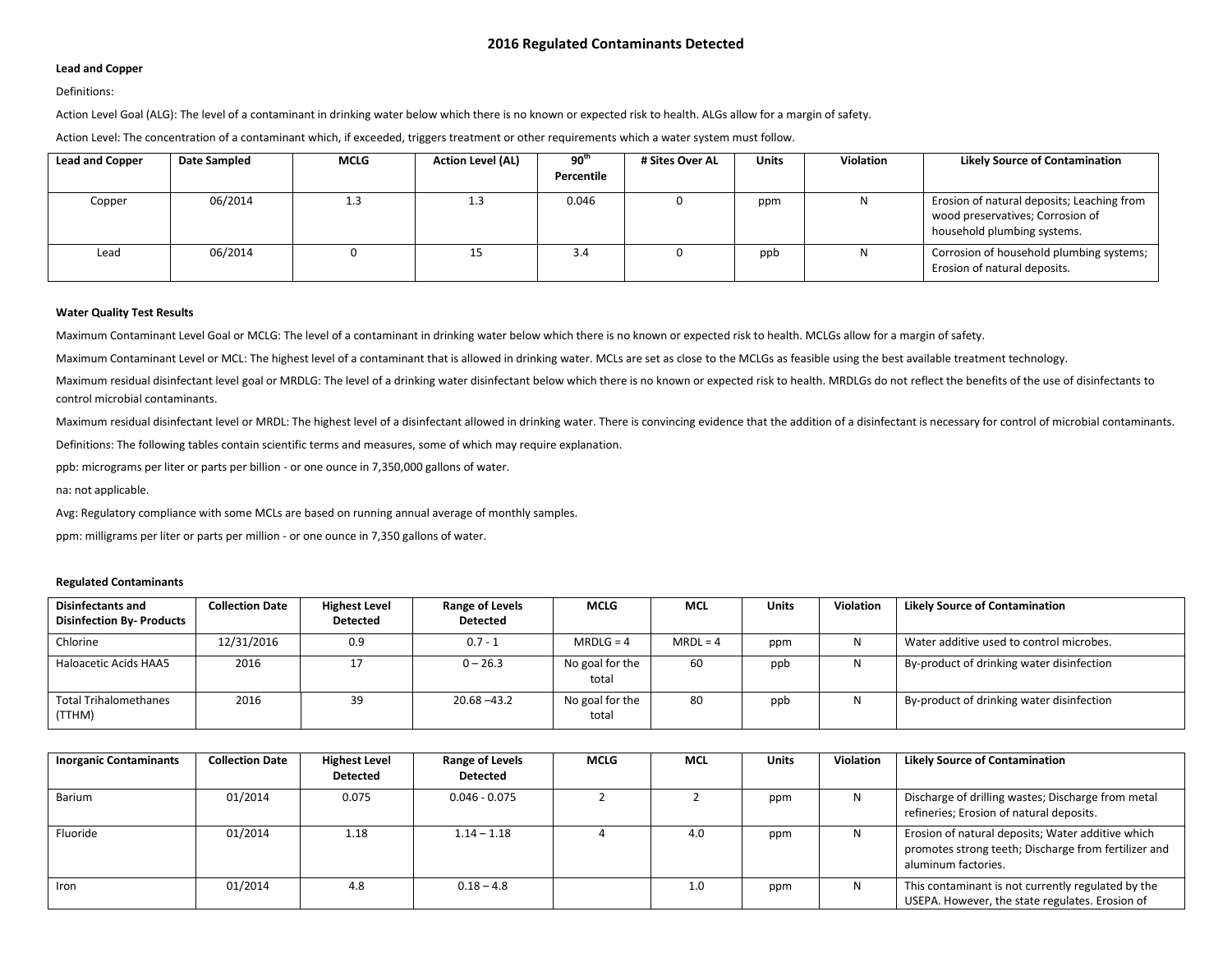## **Lead and Copper**

## Definitions:

Action Level Goal (ALG): The level of a contaminant in drinking water below which there is no known or expected risk to health. ALGs allow for a margin of safety.

Action Level: The concentration of a contaminant which, if exceeded, triggers treatment or other requirements which a water system must follow.

| <b>Lead and Copper</b> | Date Sampled | <b>MCLG</b> | <b>Action Level (AL)</b> | $90^{\rm th}$ | # Sites Over AL | <b>Units</b> | Violation | <b>Likely Source of Contamination</b>                                                                         |
|------------------------|--------------|-------------|--------------------------|---------------|-----------------|--------------|-----------|---------------------------------------------------------------------------------------------------------------|
|                        |              |             |                          | Percentile    |                 |              |           |                                                                                                               |
| Copper                 | 06/2014      | 1.3         | 1.3                      | 0.046         |                 | ppm          |           | Erosion of natural deposits; Leaching from<br>wood preservatives; Corrosion of<br>household plumbing systems. |
| Lead                   | 06/2014      |             | ن بار                    | 3.4           |                 | ppb          |           | Corrosion of household plumbing systems;<br>Erosion of natural deposits.                                      |

#### **Water Quality Test Results**

Maximum Contaminant Level Goal or MCLG: The level of a contaminant in drinking water below which there is no known or expected risk to health. MCLGs allow for a margin of safety.

Maximum Contaminant Level or MCL: The highest level of a contaminant that is allowed in drinking water. MCLs are set as close to the MCLGs as feasible using the best available treatment technology.

Maximum residual disinfectant level goal or MRDLG: The level of a drinking water disinfectant below which there is no known or expected risk to health. MRDLGs do not reflect the benefits of the use of disinfectants to control microbial contaminants.

Maximum residual disinfectant level or MRDL: The highest level of a disinfectant allowed in drinking water. There is convincing evidence that the addition of a disinfectant is necessary for control of microbial contaminant

Definitions: The following tables contain scientific terms and measures, some of which may require explanation.

ppb: micrograms per liter or parts per billion - or one ounce in 7,350,000 gallons of water.

na: not applicable.

Avg: Regulatory compliance with some MCLs are based on running annual average of monthly samples.

ppm: milligrams per liter or parts per million - or one ounce in 7,350 gallons of water.

#### **Regulated Contaminants**

| <b>Disinfectants and</b><br><b>Disinfection By- Products</b> | <b>Collection Date</b> | <b>Highest Level</b><br><b>Detected</b> | <b>Range of Levels</b><br><b>Detected</b> | <b>MCLG</b>              | <b>MCL</b> | <b>Units</b> | <b>Violation</b> | <b>Likely Source of Contamination</b>     |
|--------------------------------------------------------------|------------------------|-----------------------------------------|-------------------------------------------|--------------------------|------------|--------------|------------------|-------------------------------------------|
| Chlorine                                                     | 12/31/2016             | 0.9                                     | $0.7 - 1$                                 | $MRDLG = 4$              | $MRDL = 4$ | ppm          |                  | Water additive used to control microbes.  |
| Haloacetic Acids HAA5                                        | 2016                   | 17                                      | $0 - 26.3$                                | No goal for the<br>total | 60         | ppb          | N                | By-product of drinking water disinfection |
| <b>Total Trihalomethanes</b><br>(TTHM)                       | 2016                   | 39                                      | $20.68 - 43.2$                            | No goal for the<br>total | 80         | ppb          | N                | By-product of drinking water disinfection |

| <b>Inorganic Contaminants</b> | <b>Collection Date</b> | <b>Highest Level</b><br><b>Detected</b> | Range of Levels<br><b>Detected</b> | <b>MCLG</b> | <b>MCL</b> | <b>Units</b> | Violation | <b>Likely Source of Contamination</b>                                                                                            |
|-------------------------------|------------------------|-----------------------------------------|------------------------------------|-------------|------------|--------------|-----------|----------------------------------------------------------------------------------------------------------------------------------|
| Barium                        | 01/2014                | 0.075                                   | $0.046 - 0.075$                    |             |            | ppm          | N.        | Discharge of drilling wastes; Discharge from metal<br>refineries; Erosion of natural deposits.                                   |
| Fluoride                      | 01/2014                | 1.18                                    | $1.14 - 1.18$                      |             | 4.0        | ppm          | N         | Erosion of natural deposits; Water additive which<br>promotes strong teeth; Discharge from fertilizer and<br>aluminum factories. |
| Iron                          | 01/2014                | 4.8                                     | $0.18 - 4.8$                       |             | 1.0        | ppm          | N         | This contaminant is not currently regulated by the<br>USEPA. However, the state regulates. Erosion of                            |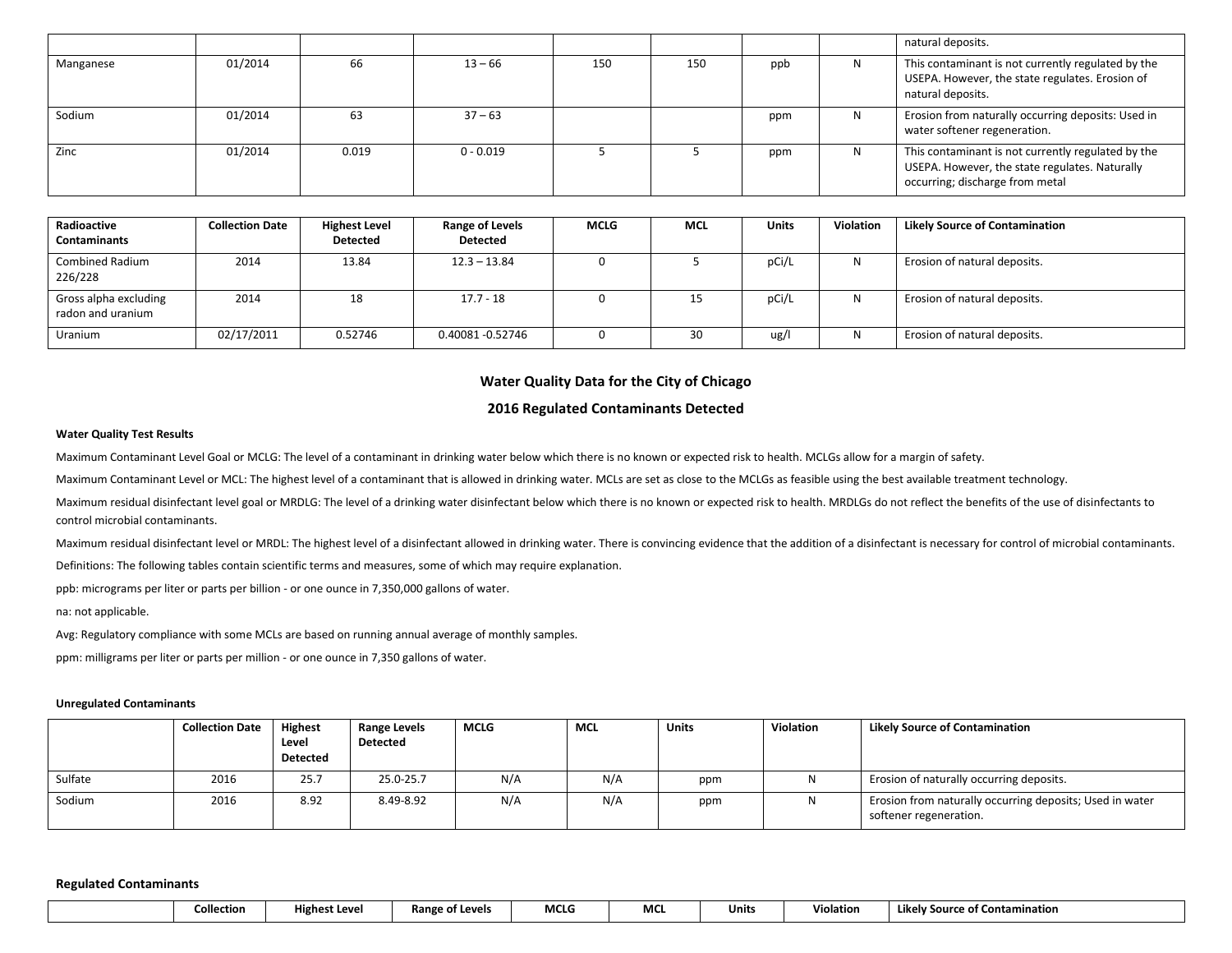|           |         |       |             |     |     |     |   | natural deposits.                                                                                                                       |
|-----------|---------|-------|-------------|-----|-----|-----|---|-----------------------------------------------------------------------------------------------------------------------------------------|
| Manganese | 01/2014 | 66    | $13 - 66$   | 150 | 150 | ppb |   | This contaminant is not currently regulated by the<br>USEPA. However, the state regulates. Erosion of<br>natural deposits.              |
| Sodium    | 01/2014 | 63    | $37 - 63$   |     |     | ppm | N | Erosion from naturally occurring deposits: Used in<br>water softener regeneration.                                                      |
| Zinc      | 01/2014 | 0.019 | $0 - 0.019$ |     |     | ppm | N | This contaminant is not currently regulated by the<br>USEPA. However, the state regulates. Naturally<br>occurring; discharge from metal |

| Radioactive<br><b>Contaminants</b>         | <b>Collection Date</b> | <b>Highest Level</b><br><b>Detected</b> | <b>Range of Levels</b><br><b>Detected</b> | <b>MCLG</b> | <b>MCL</b> | <b>Units</b> | Violation | <b>Likely Source of Contamination</b> |
|--------------------------------------------|------------------------|-----------------------------------------|-------------------------------------------|-------------|------------|--------------|-----------|---------------------------------------|
| <b>Combined Radium</b><br>226/228          | 2014                   | 13.84                                   | $12.3 - 13.84$                            |             |            | pCi/L        | N         | Erosion of natural deposits.          |
| Gross alpha excluding<br>radon and uranium | 2014                   | 18                                      | $17.7 - 18$                               |             | 15         | pCi/L        | N         | Erosion of natural deposits.          |
| Uranium                                    | 02/17/2011             | 0.52746                                 | 0.40081 -0.52746                          |             | 30         | ug/l         | Ν         | Erosion of natural deposits.          |

# **Water Quality Data for the City of Chicago**

## **2016 Regulated Contaminants Detected**

## **Water Quality Test Results**

Maximum Contaminant Level Goal or MCLG: The level of a contaminant in drinking water below which there is no known or expected risk to health. MCLGs allow for a margin of safety.

Maximum Contaminant Level or MCL: The highest level of a contaminant that is allowed in drinking water. MCLs are set as close to the MCLGs as feasible using the best available treatment technology.

Maximum residual disinfectant level goal or MRDLG: The level of a drinking water disinfectant below which there is no known or expected risk to health. MRDLGs do not reflect the benefits of the use of disinfectants to control microbial contaminants.

Maximum residual disinfectant level or MRDL: The highest level of a disinfectant allowed in drinking water. There is convincing evidence that the addition of a disinfectant is necessary for control of microbial contaminant Definitions: The following tables contain scientific terms and measures, some of which may require explanation.

ppb: micrograms per liter or parts per billion - or one ounce in 7,350,000 gallons of water.

#### na: not applicable.

Avg: Regulatory compliance with some MCLs are based on running annual average of monthly samples.

ppm: milligrams per liter or parts per million - or one ounce in 7,350 gallons of water.

#### **Unregulated Contaminants**

|         | <b>Collection Date</b> | <b>Highest</b>  | Range Levels    | <b>MCLG</b> | MCL | Units | <b>Violation</b> | <b>Likely Source of Contamination</b>                                              |
|---------|------------------------|-----------------|-----------------|-------------|-----|-------|------------------|------------------------------------------------------------------------------------|
|         |                        | Level           | <b>Detected</b> |             |     |       |                  |                                                                                    |
|         |                        | <b>Detected</b> |                 |             |     |       |                  |                                                                                    |
| Sulfate | 2016                   | 25.7            | 25.0-25.7       | N/A         | N/A | ppm   | - IN             | Erosion of naturally occurring deposits.                                           |
| Sodium  | 2016                   | 8.92            | 8.49-8.92       | N/A         | N/A | ppm   | N                | Erosion from naturally occurring deposits; Used in water<br>softener regeneration. |

#### **Regulated Contaminants**

|  | Collection | <b>Highest Level</b> | Range of<br>t Levels | MCLG | MC | ''Inits | Violation | <b>*tamination</b><br>Likely<br>'Source of Contai. |
|--|------------|----------------------|----------------------|------|----|---------|-----------|----------------------------------------------------|
|--|------------|----------------------|----------------------|------|----|---------|-----------|----------------------------------------------------|